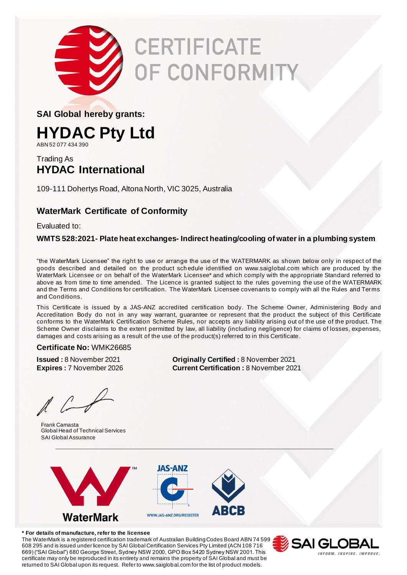

# **CERTIFICATE JF CONFORMITY**

**SAI Global hereby grants:**

### **HYDAC Pty Ltd**

ABN 52 077 434 390

### Trading As **HYDAC International**

109-111 Dohertys Road, Altona North, VIC 3025, Australia

### **WaterMark Certificate of Conformity**

Evaluated to:

#### **WMTS 528:2021- Plate heat exchanges- Indirect heating/cooling of water in a plumbing system**

"the WaterMark Licensee" the right to use or arrange the use of the WATERMARK as shown below only in respect of the goods described and detailed on the product sch edule identified on www.saiglobal.com which are produced by the WaterMark Licensee or on behalf of the WaterMark Licensee\* and which comply with the appropriate Standard referred to above as from time to time amended. The Licence is granted subject to the rules governing the use of the WATERMARK and the Terms and Conditions for certification. The WaterMark Licensee covenants to comply with all the Rules and Terms and Conditions.

This Certificate is issued by a JAS-ANZ accredited certification body. The Scheme Owner, Administering Body and Accreditation Body do not in any way warrant, guarantee or represent that the product the subject of this Certificate conforms to the WaterMark Certification Scheme Rules, nor accepts any liability arising out of the use of the product. The Scheme Owner disclaims to the extent permitted by law, all liability (including negligence) for claims of losses, expenses, damages and costs arising as a result of the use of the product(s) referred to in this Certificate.

#### **Certificate No:** WMK26685

 $\ell$ 

Frank Camasta Global Head of Technical Services SAI Global Assurance

**Issued :** 8 November 2021 **Originally Certified :** 8 November 2021 **Expires :** 7 November 2026 **Current Certification :** 8 November 2021



**\* For details of manufacture, refer to the licensee**

The WaterMark is a registered certification trademark of Australian Building Codes Board ABN 74 599 608 295 and is issued under licence by SAI Global Certification Services Pty Limited (ACN 108 716 669) ("SAI Global") 680 George Street, Sydney NSW 2000, GPO Box 5420 Sydney NSW 2001. This certificate may only be reproduced in its entirety and remains the property of SAI Global and must be returned to SAI Global upon its request. Refer to www.saiglobal.com for the list of product models.

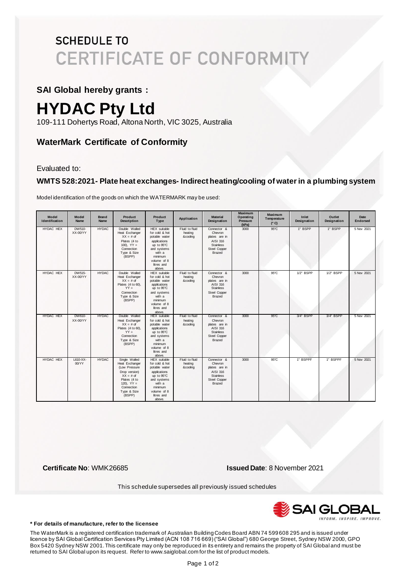### **SCHEDULE TO CERTIFICATE OF CONFORMITY**

### **SAI Global hereby grants :**

## **HYDAC Pty Ltd**

109-111 Dohertys Road, Altona North, VIC 3025, Australia

### **WaterMark Certificate of Conformity**

Evaluated to:

#### **WMTS 528:2021- Plate heat exchanges- Indirect heating/cooling of water in a plumbing system**

Model identification of the goods on which the WATERMARK may be used:

| Model<br>Identification | Model<br>Name       | <b>Brand</b><br><b>Name</b> | <b>Product</b><br>Description                                                                                                                           | Product<br>Type                                                                                                                                                 | Application                           | <b>Material</b><br>Designation                                                                    | <b>Maximum</b><br>Operating<br>Pressure<br>(kPa) | <b>Maximum</b><br>Temperature<br>(°C) | Inlet<br>Designation | Outlet<br>Designation | Date<br>Endorsed |
|-------------------------|---------------------|-----------------------------|---------------------------------------------------------------------------------------------------------------------------------------------------------|-----------------------------------------------------------------------------------------------------------------------------------------------------------------|---------------------------------------|---------------------------------------------------------------------------------------------------|--------------------------------------------------|---------------------------------------|----------------------|-----------------------|------------------|
| HYDAC HEX               | DW510-<br>XX-00/YY  | <b>HYDAC</b>                | Double Walled<br>Heat Exchanger<br>$XX = # of$<br>Plates (4 to<br>100), $YY =$<br>Connection<br>Type & Size<br>(BSPP)                                   | <b>HEX</b> suitable<br>for cold & hot<br>potable water<br>applications<br>up to 95°C<br>and systems<br>with a<br>minimum<br>volume of 8<br>litres and<br>above. | Fluid to fluid<br>heating<br>&cooling | Connector &<br>Chevron<br>plates are in<br>AISI 316<br><b>Stainless</b><br>Steel Copper<br>Brazed | 3000                                             | $95^{\circ}$ C                        | 1" BSPP              | 1" BSPP               | 5 Nov 2021       |
| HYDAC HEX               | DW 515-<br>XX-00/YY | <b>HYDAC</b>                | Double Walled<br>Heat Exchanger<br>$XX = # of$<br>Plates (4 to 60),<br>$YY =$<br>Connection<br>Type & Size<br>(BSPP)                                    | <b>HEX</b> suitable<br>for cold & hot<br>potable water<br>applications<br>up to 95°C<br>and systems<br>with a<br>minimum<br>volume of 8<br>litres and<br>above. | Fluid to fluid<br>heating<br>&cooling | Connector &<br>Chevron<br>plates are in<br>AISI 316<br>Stainless<br>Steel Copper<br>Brazed        | 3000                                             | $95^{\circ}$ C                        | $1/2$ " BSPP         | $1/2$ " BSPP          | 5 Nov 2021       |
| HYDAC HEX               | DW610-<br>XX-00/YY  | <b>HYDAC</b>                | Double Walled<br>Heat Exchanger<br>$XX = # of$<br>Plates (4 to 60),<br>$YY =$<br>Connection<br>Type & Size<br>(BSPP)                                    | HEX suitable<br>for cold & hot<br>potable water<br>applications<br>up to 95°C<br>and systems<br>with a<br>minimum<br>volume of 8<br>litres and<br>above.        | Fluid to fluid<br>heating<br>&cooling | Connector &<br>Chevron<br>plates are in<br>AISI 316<br><b>Stainless</b><br>Steel Copper<br>Brazed | 3000                                             | $95^{\circ}$ C                        | 3/4" BSPP            | 3/4" BSPP             | 5 Nov 2021       |
| HYDAC HEX               | L610-XX-<br>00/YY   | <b>HYDAC</b>                | Single Walled<br>Heat Exchanger<br>(Low Pressure<br>Drop version)<br>$XX = # of$<br>Plates (4 to<br>120), $YY =$<br>Connection<br>Type & Size<br>(BSPP) | HEX suitable<br>for cold & hot<br>potable water<br>applications<br>up to 95°C<br>and systems<br>with a<br>minimum<br>volume of 8<br>litres and<br>above.        | Fluid to fluid<br>heating<br>&cooling | Connector &<br>Chevron<br>plates are in<br>AISI 316<br><b>Stainless</b><br>Steel Copper<br>Brazed | 3000                                             | 95°C                                  | 1" BSPPF             | 1" BSPPF              | 5 Nov 2021       |

**Certificate No**: WMK26685 **Issued Date**: 8 November 2021

This schedule supersedes all previously issued schedules



**\* For details of manufacture, refer to the licensee**

The WaterMark is a registered certification trademark of Australian Building Codes Board ABN 74 599 608 295 and is issued under licence by SAI Global Certification Services Pty Limited (ACN 108 716 669) ("SAI Global") 680 George Street, Sydney NSW 2000, GPO Box 5420 Sydney NSW 2001. This certificate may only be reproduced in its entirety and remains the property of SAI Global and must be returned to SAI Global upon its request. Refer to www.saiglobal.com for the list of product models. <sup>3</sup>